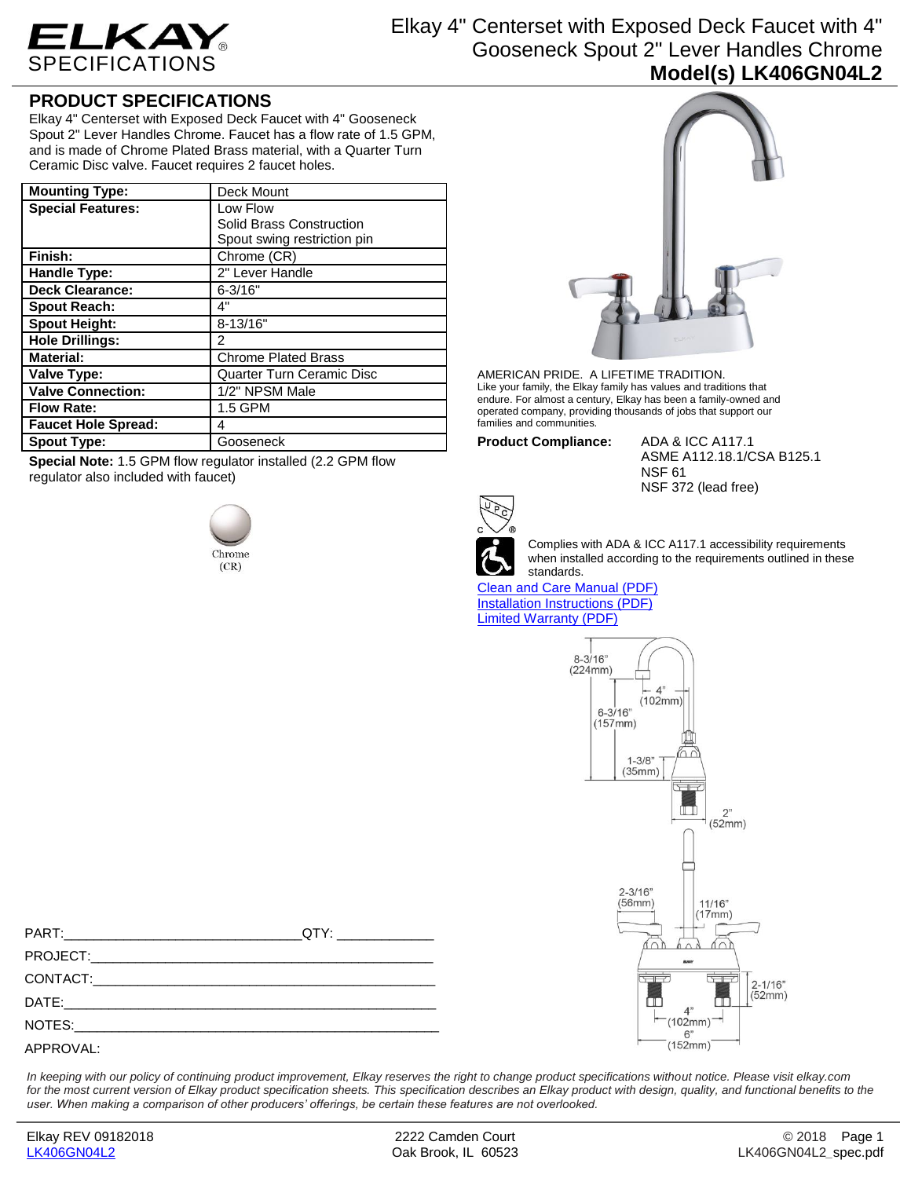

Elkay 4" Centerset with Exposed Deck Faucet with 4" Gooseneck Spout 2" Lever Handles Chrome **Model(s) LK406GN04L2**

## **PRODUCT SPECIFICATIONS**

Elkay 4" Centerset with Exposed Deck Faucet with 4" Gooseneck Spout 2" Lever Handles Chrome. Faucet has a flow rate of 1.5 GPM, and is made of Chrome Plated Brass material, with a Quarter Turn Ceramic Disc valve. Faucet requires 2 faucet holes.

| <b>Mounting Type:</b>      | Deck Mount                       |
|----------------------------|----------------------------------|
| <b>Special Features:</b>   | Low Flow                         |
|                            | Solid Brass Construction         |
|                            | Spout swing restriction pin      |
| Finish:                    | Chrome (CR)                      |
| Handle Type:               | 2" Lever Handle                  |
| <b>Deck Clearance:</b>     | $6 - 3/16"$                      |
| <b>Spout Reach:</b>        | 4"                               |
| <b>Spout Height:</b>       | $8 - 13/16"$                     |
| <b>Hole Drillings:</b>     | 2                                |
| <b>Material:</b>           | <b>Chrome Plated Brass</b>       |
| Valve Type:                | <b>Quarter Turn Ceramic Disc</b> |
| <b>Valve Connection:</b>   | 1/2" NPSM Male                   |
| <b>Flow Rate:</b>          | 1.5 GPM                          |
| <b>Faucet Hole Spread:</b> | 4                                |
| <b>Spout Type:</b>         | Gooseneck                        |

**Special Note:** 1.5 GPM flow regulator installed (2.2 GPM flow regulator also included with faucet)





AMERICAN PRIDE. A LIFETIME TRADITION. Like your family, the Elkay family has values and traditions that endure. For almost a century, Elkay has been a family-owned and operated company, providing thousands of jobs that support our families and communities.

**Product Compliance:** ADA & ICC A117.1

ASME A112.18.1/CSA B125.1 NSF 61 NSF 372 (lead free)



Complies with ADA & ICC A117.1 accessibility requirements when installed according to the requirements outlined in these standards.

[Clean and Care Manual \(PDF\)](http://www.elkay.com/wcsstore/lkdocs/care-cleaning-install-warranty-sheets/residential%20and%20commercial%20care%20%20cleaning.pdf) [Installation Instructions \(PDF\)](http://www.elkay.com/wcsstore/lkdocs/care-cleaning-install-warranty-sheets/a55483.pdf) [Limited Warranty](http://www.elkay.com/wcsstore/lkdocs/care-cleaning-install-warranty-sheets/commercial%20sinks%20and%20faucets%20warranty.pdf) (PDF)



PART:\_\_\_\_\_\_\_\_\_\_\_\_\_\_\_\_\_\_\_\_\_\_\_\_\_\_\_\_\_\_\_\_QTY: \_\_\_\_\_\_\_\_\_\_\_\_\_ PROJECT: CONTACT:\_\_\_\_\_\_\_\_\_\_\_\_\_\_\_\_\_\_\_\_\_\_\_\_\_\_\_\_\_\_\_\_\_\_\_\_\_\_\_\_\_\_\_\_\_\_ DATE:\_\_\_\_\_\_\_\_\_\_\_\_\_\_\_\_\_\_\_\_\_\_\_\_\_\_\_\_\_\_\_\_\_\_\_\_\_\_\_\_\_\_\_\_\_\_\_\_\_\_ NOTES: APPROVAL:

*In keeping with our policy of continuing product improvement, Elkay reserves the right to change product specifications without notice. Please visit elkay.com*  for the most current version of Elkay product specification sheets. This specification describes an Elkay product with design, quality, and functional benefits to the *user. When making a comparison of other producers' offerings, be certain these features are not overlooked.*